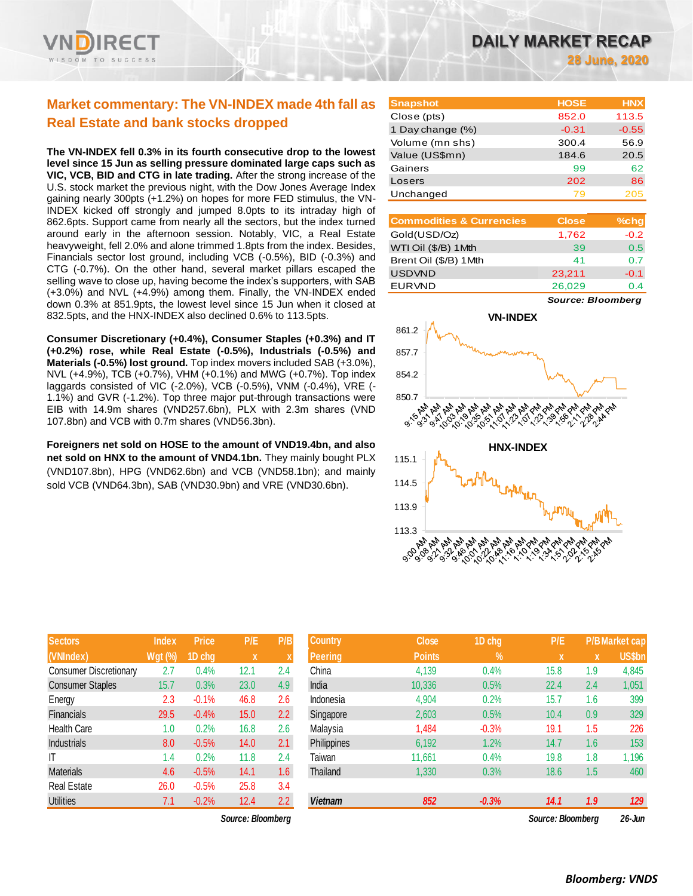

# **Market commentary: The VN-INDEX made 4th fall as Real Estate and bank stocks dropped**

**The VN-INDEX fell 0.3% in its fourth consecutive drop to the lowest level since 15 Jun as selling pressure dominated large caps such as VIC, VCB, BID and CTG in late trading.** After the strong increase of the U.S. stock market the previous night, with the Dow Jones Average Index gaining nearly 300pts (+1.2%) on hopes for more FED stimulus, the VN-INDEX kicked off strongly and jumped 8.0pts to its intraday high of 862.6pts. Support came from nearly all the sectors, but the index turned around early in the afternoon session. Notably, VIC, a Real Estate heavyweight, fell 2.0% and alone trimmed 1.8pts from the index. Besides, Financials sector lost ground, including VCB (-0.5%), BID (-0.3%) and CTG (-0.7%). On the other hand, several market pillars escaped the selling wave to close up, having become the index's supporters, with SAB (+3.0%) and NVL (+4.9%) among them. Finally, the VN-INDEX ended down 0.3% at 851.9pts, the lowest level since 15 Jun when it closed at 832.5pts, and the HNX-INDEX also declined 0.6% to 113.5pts.

**Consumer Discretionary (+0.4%), Consumer Staples (+0.3%) and IT (+0.2%) rose, while Real Estate (-0.5%), Industrials (-0.5%) and Materials (-0.5%) lost ground.** Top index movers included SAB (+3.0%), NVL (+4.9%), TCB (+0.7%), VHM (+0.1%) and MWG (+0.7%). Top index laggards consisted of VIC (-2.0%), VCB (-0.5%), VNM (-0.4%), VRE (- 1.1%) and GVR (-1.2%). Top three major put-through transactions were EIB with 14.9m shares (VND257.6bn), PLX with 2.3m shares (VND 107.8bn) and VCB with 0.7m shares (VND56.3bn).

**Foreigners net sold on HOSE to the amount of VND19.4bn, and also net sold on HNX to the amount of VND4.1bn.** They mainly bought PLX (VND107.8bn), HPG (VND62.6bn) and VCB (VND58.1bn); and mainly sold VCB (VND64.3bn), SAB (VND30.9bn) and VRE (VND30.6bn).

| <b>Sectors</b>                | Index          | <b>Price</b> | P/E  | P/B |
|-------------------------------|----------------|--------------|------|-----|
| (VNIndex)                     | <b>Wgt (%)</b> | 1D chg       | X    | X   |
| <b>Consumer Discretionary</b> | 2.7            | 0.4%         | 12.1 | 2.4 |
| <b>Consumer Staples</b>       | 15.7           | 0.3%         | 23.0 | 4.9 |
| Energy                        | 2.3            | $-0.1%$      | 46.8 | 2.6 |
| <b>Financials</b>             | 29.5           | $-0.4%$      | 15.0 | 2.2 |
| <b>Health Care</b>            | 1.0            | 0.2%         | 16.8 | 2.6 |
| <b>Industrials</b>            | 8.0            | $-0.5%$      | 14.0 | 2.1 |
| IT                            | 1.4            | 0.2%         | 11.8 | 2.4 |
| <b>Materials</b>              | 4.6            | $-0.5%$      | 14.1 | 1.6 |
| <b>Real Estate</b>            | 26.0           | $-0.5%$      | 25.8 | 3.4 |
| Utilities                     | 7.1            | $-0.2%$      | 12.4 | 2.2 |

*Source: Bloomberg Source: Bloomberg 26-Jun*

**28 June, 2020**

| <b>Snapshot</b>  | <b>HOSE</b> | <b>HNX</b> |
|------------------|-------------|------------|
| Close (pts)      | 852.0       | 113.5      |
| 1 Day change (%) | $-0.31$     | $-0.55$    |
| Volume (mn shs)  | 300.4       | 56.9       |
| Value (US\$mn)   | 184.6       | 20.5       |
| Gainers          | 99          | 62         |
| Losers           | 202         | 86         |
| Unchanged        | 79          | 205        |

| <b>Commodities &amp; Currencies</b> | <b>Close</b> | $%$ chg |
|-------------------------------------|--------------|---------|
| Gold(USD/Oz)                        | 1,762        | $-0.2$  |
| WTI Oil (\$/B) 1Mth                 | 39           | 0.5     |
| Brent Oil (\$/B) 1Mth               | 41           | 0.7     |
| <b>USDVND</b>                       | 23,211       | $-0.1$  |
| <b>EURVND</b>                       | 26,029       | 0.4     |

*Source: Bloomberg*



| <b>Sectors</b>                | <b>Index</b>   | <b>Price</b> | P/E               | P/B | <b>Country</b> | <b>Close</b>  | 1D chg  | P/E               |     | <b>P/BMarket cap</b> |
|-------------------------------|----------------|--------------|-------------------|-----|----------------|---------------|---------|-------------------|-----|----------------------|
| (VNIndex)                     | <b>Wgt (%)</b> | 1D chg       | X                 | v   | <b>Peering</b> | <b>Points</b> | $\%$    | <b>X</b>          | X   | US\$bn               |
| <b>Consumer Discretionary</b> | 2.7            | 0.4%         | 12.1              | 2.4 | China          | 4,139         | 0.4%    | 15.8              | 1.9 | 4,845                |
| <b>Consumer Staples</b>       | 15.7           | 0.3%         | 23.0              | 4.9 | India          | 10,336        | 0.5%    | 22.4              | 2.4 | 1,051                |
| Energy                        | 2.3            | $-0.1%$      | 46.8              | 2.6 | Indonesia      | 4,904         | 0.2%    | 15.7              | 1.6 | 399                  |
| Financials                    | 29.5           | $-0.4%$      | 15.0              | 2.2 | Singapore      | 2,603         | 0.5%    | 10.4              | 0.9 | 329                  |
| <b>Health Care</b>            | 1.0            | 0.2%         | 16.8              | 2.6 | Malaysia       | 1,484         | $-0.3%$ | 19.1              | 1.5 | 226                  |
| <b>Industrials</b>            | 8.0            | $-0.5%$      | 14.0              | 2.1 | Philippines    | 6,192         | 1.2%    | 14.7              | 1.6 | 153                  |
| ΙT                            | 1.4            | 0.2%         | 11.8              | 2.4 | Taiwan         | 11,661        | 0.4%    | 19.8              | 1.8 | 1,196                |
| <b>Materials</b>              | 4.6            | $-0.5%$      | 14.1              | 1.6 | Thailand       | 1,330         | 0.3%    | 18.6              | 1.5 | 460                  |
| Real Estate                   | 26.0           | $-0.5%$      | 25.8              | 3.4 |                |               |         |                   |     |                      |
| <b>Utilities</b>              | 7.1            | $-0.2%$      | 12.4              | 2.2 | <b>Vietnam</b> | 852           | $-0.3%$ | 14.1              | 1.9 | 129                  |
|                               |                |              | Source: Bloombera |     |                |               |         | Source: Bloombera |     | 26-Jun               |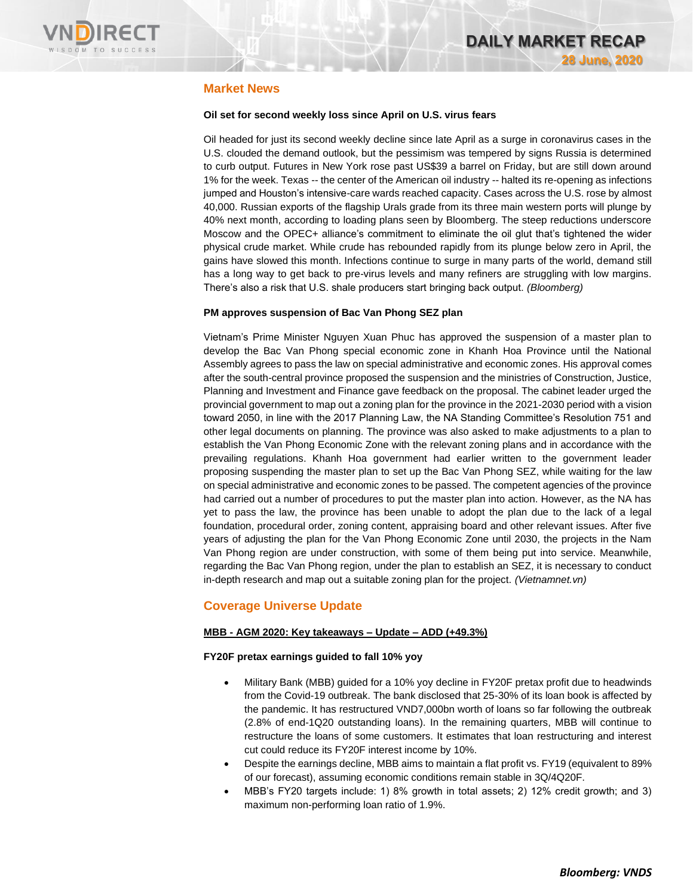

# **Market News**

# **Oil set for second weekly loss since April on U.S. virus fears**

Oil headed for just its second weekly decline since late April as a surge in coronavirus cases in the U.S. clouded the demand outlook, but the pessimism was tempered by signs Russia is determined to curb output. Futures in New York rose past US\$39 a barrel on Friday, but are still down around 1% for the week. Texas -- the center of the American oil industry -- halted its re-opening as infections jumped and Houston's intensive-care wards reached capacity. Cases across the U.S. rose by almost 40,000. Russian exports of the flagship Urals grade from its three main western ports will plunge by 40% next month, according to loading plans seen by Bloomberg. The steep reductions underscore Moscow and the OPEC+ alliance's commitment to eliminate the oil glut that's tightened the wider physical crude market. While crude has rebounded rapidly from its plunge below zero in April, the gains have slowed this month. Infections continue to surge in many parts of the world, demand still has a long way to get back to pre-virus levels and many refiners are struggling with low margins. There's also a risk that U.S. shale producers start bringing back output. *(Bloomberg)*

# **PM approves suspension of Bac Van Phong SEZ plan**

Vietnam's Prime Minister Nguyen Xuan Phuc has approved the suspension of a master plan to develop the Bac Van Phong special economic zone in Khanh Hoa Province until the National Assembly agrees to pass the law on special administrative and economic zones. His approval comes after the south-central province proposed the suspension and the ministries of Construction, Justice, Planning and Investment and Finance gave feedback on the proposal. The cabinet leader urged the provincial government to map out a zoning plan for the province in the 2021-2030 period with a vision toward 2050, in line with the 2017 Planning Law, the NA Standing Committee's Resolution 751 and other legal documents on planning. The province was also asked to make adjustments to a plan to establish the Van Phong Economic Zone with the relevant zoning plans and in accordance with the prevailing regulations. Khanh Hoa government had earlier written to the government leader proposing suspending the master plan to set up the Bac Van Phong SEZ, while waiting for the law on special administrative and economic zones to be passed. The competent agencies of the province had carried out a number of procedures to put the master plan into action. However, as the NA has yet to pass the law, the province has been unable to adopt the plan due to the lack of a legal foundation, procedural order, zoning content, appraising board and other relevant issues. After five years of adjusting the plan for the Van Phong Economic Zone until 2030, the projects in the Nam Van Phong region are under construction, with some of them being put into service. Meanwhile, regarding the Bac Van Phong region, under the plan to establish an SEZ, it is necessary to conduct in-depth research and map out a suitable zoning plan for the project. *(Vietnamnet.vn)*

# **Coverage Universe Update**

# **MBB - AGM 2020: Key takeaways – Update – ADD (+49.3%)**

# **FY20F pretax earnings guided to fall 10% yoy**

- Military Bank (MBB) guided for a 10% yoy decline in FY20F pretax profit due to headwinds from the Covid-19 outbreak. The bank disclosed that 25-30% of its loan book is affected by the pandemic. It has restructured VND7,000bn worth of loans so far following the outbreak (2.8% of end-1Q20 outstanding loans). In the remaining quarters, MBB will continue to restructure the loans of some customers. It estimates that loan restructuring and interest cut could reduce its FY20F interest income by 10%.
- Despite the earnings decline, MBB aims to maintain a flat profit vs. FY19 (equivalent to 89% of our forecast), assuming economic conditions remain stable in 3Q/4Q20F.
- MBB's FY20 targets include: 1) 8% growth in total assets; 2) 12% credit growth; and 3) maximum non-performing loan ratio of 1.9%.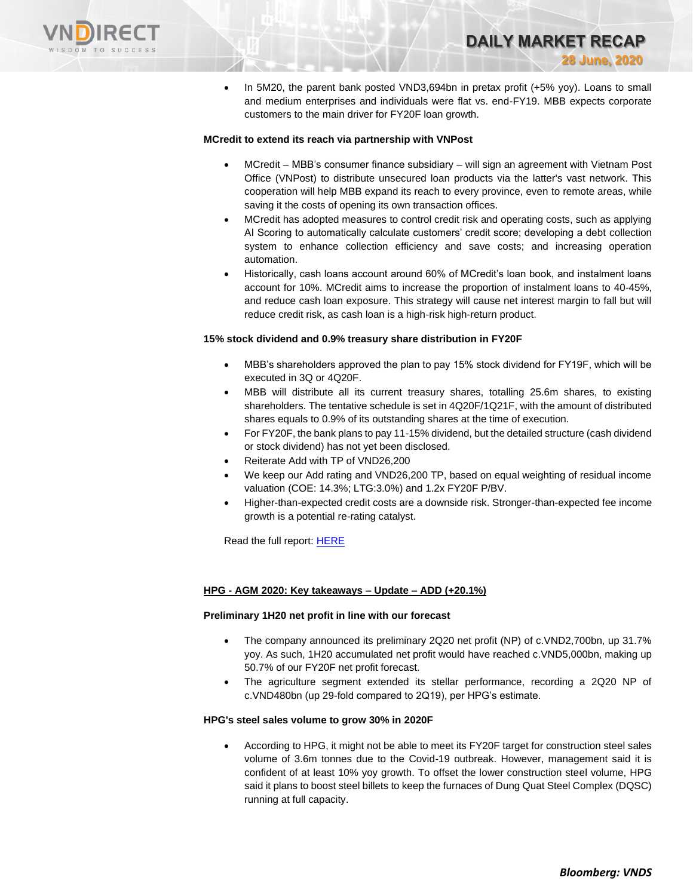

• In 5M20, the parent bank posted VND3,694bn in pretax profit (+5% yoy). Loans to small and medium enterprises and individuals were flat vs. end-FY19. MBB expects corporate customers to the main driver for FY20F loan growth.

**DAILY MARKET RECAP** 

**28 June, 2020**

# **MCredit to extend its reach via partnership with VNPost**

- MCredit MBB's consumer finance subsidiary will sign an agreement with Vietnam Post Office (VNPost) to distribute unsecured loan products via the latter's vast network. This cooperation will help MBB expand its reach to every province, even to remote areas, while saving it the costs of opening its own transaction offices.
- MCredit has adopted measures to control credit risk and operating costs, such as applying AI Scoring to automatically calculate customers' credit score; developing a debt collection system to enhance collection efficiency and save costs; and increasing operation automation.
- Historically, cash loans account around 60% of MCredit's loan book, and instalment loans account for 10%. MCredit aims to increase the proportion of instalment loans to 40-45%, and reduce cash loan exposure. This strategy will cause net interest margin to fall but will reduce credit risk, as cash loan is a high-risk high-return product.

## **15% stock dividend and 0.9% treasury share distribution in FY20F**

- MBB's shareholders approved the plan to pay 15% stock dividend for FY19F, which will be executed in 3Q or 4Q20F.
- MBB will distribute all its current treasury shares, totalling 25.6m shares, to existing shareholders. The tentative schedule is set in 4Q20F/1Q21F, with the amount of distributed shares equals to 0.9% of its outstanding shares at the time of execution.
- For FY20F, the bank plans to pay 11-15% dividend, but the detailed structure (cash dividend or stock dividend) has not yet been disclosed.
- Reiterate Add with TP of VND26,200
- We keep our Add rating and VND26,200 TP, based on equal weighting of residual income valuation (COE: 14.3%; LTG:3.0%) and 1.2x FY20F P/BV.
- Higher-than-expected credit costs are a downside risk. Stronger-than-expected fee income growth is a potential re-rating catalyst.

Read the full report[: HERE](https://nhanha-public-api.vndirect.com.vn/click/OGE0ODlmZDA3MDVhYmY5ZTAxNzA1Y2ZkYmY4YjAwMDM=/ZjIyODIwM2YzOWMxNDU1NmE0MTUyZjc0MTE4MDhiNDI=/f228203f39c14556a4152f7411808b42-MBB_AGMNote_20200624.pdf/cmVzZWFyY2hAdm5kaXJlY3QuY29tLnZu/MTk1Mzg=)

# **HPG - AGM 2020: Key takeaways – Update – ADD (+20.1%)**

### **Preliminary 1H20 net profit in line with our forecast**

- The company announced its preliminary 2Q20 net profit (NP) of c.VND2,700bn, up 31.7% yoy. As such, 1H20 accumulated net profit would have reached c.VND5,000bn, making up 50.7% of our FY20F net profit forecast.
- The agriculture segment extended its stellar performance, recording a 2Q20 NP of c.VND480bn (up 29-fold compared to 2Q19), per HPG's estimate.

### **HPG's steel sales volume to grow 30% in 2020F**

• According to HPG, it might not be able to meet its FY20F target for construction steel sales volume of 3.6m tonnes due to the Covid-19 outbreak. However, management said it is confident of at least 10% yoy growth. To offset the lower construction steel volume, HPG said it plans to boost steel billets to keep the furnaces of Dung Quat Steel Complex (DQSC) running at full capacity.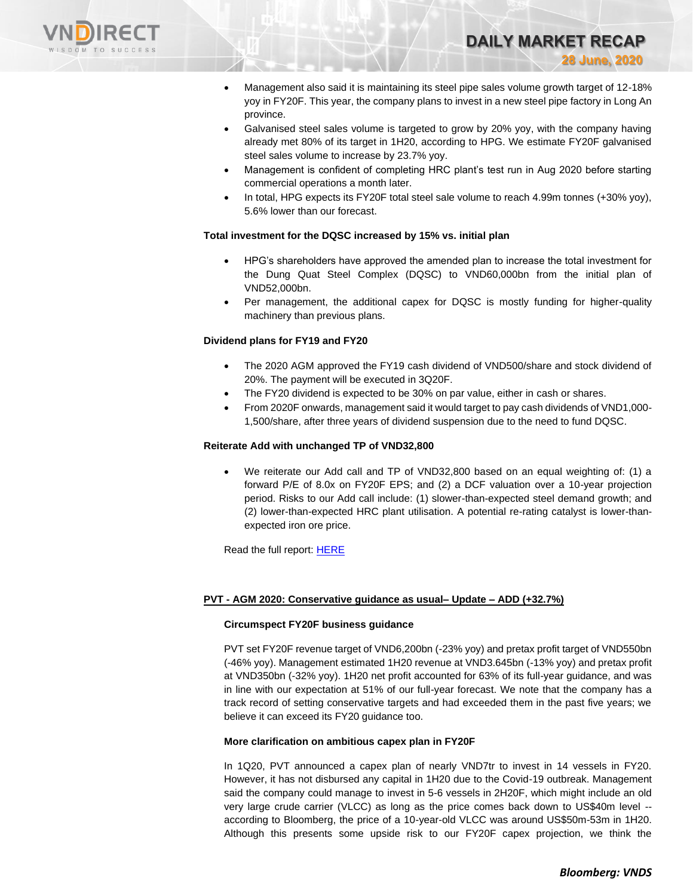

• Management also said it is maintaining its steel pipe sales volume growth target of 12-18% yoy in FY20F. This year, the company plans to invest in a new steel pipe factory in Long An province.

**DAILY MARKET RECAP** 

**28 June, 2020**

- Galvanised steel sales volume is targeted to grow by 20% yoy, with the company having already met 80% of its target in 1H20, according to HPG. We estimate FY20F galvanised steel sales volume to increase by 23.7% yoy.
- Management is confident of completing HRC plant's test run in Aug 2020 before starting commercial operations a month later.
- In total, HPG expects its FY20F total steel sale volume to reach 4.99m tonnes (+30% yoy), 5.6% lower than our forecast.

# **Total investment for the DQSC increased by 15% vs. initial plan**

- HPG's shareholders have approved the amended plan to increase the total investment for the Dung Quat Steel Complex (DQSC) to VND60,000bn from the initial plan of VND52,000bn.
- Per management, the additional capex for DQSC is mostly funding for higher-quality machinery than previous plans.

## **Dividend plans for FY19 and FY20**

- The 2020 AGM approved the FY19 cash dividend of VND500/share and stock dividend of 20%. The payment will be executed in 3Q20F.
- The FY20 dividend is expected to be 30% on par value, either in cash or shares.
- From 2020F onwards, management said it would target to pay cash dividends of VND1,000- 1,500/share, after three years of dividend suspension due to the need to fund DQSC.

## **Reiterate Add with unchanged TP of VND32,800**

• We reiterate our Add call and TP of VND32,800 based on an equal weighting of: (1) a forward P/E of 8.0x on FY20F EPS; and (2) a DCF valuation over a 10-year projection period. Risks to our Add call include: (1) slower-than-expected steel demand growth; and (2) lower-than-expected HRC plant utilisation. A potential re-rating catalyst is lower-thanexpected iron ore price.

Read the full report[: HERE](https://nhanha-public-api.vndirect.com.vn/click/OGE0ODlmZDA3MDFjZjM0OTAxNzAxZWQ4OTRkZjAwMDk=/NTViYTg3OTkyNDc3NDNiNmJmOWJjNWIxOTk4OTFiYjA=/55ba8799247743b6bf9bc5b199891bb0-HPG_Flashnote_20200626.pdf/cmVzZWFyY2hAdm5kaXJlY3QuY29tLnZu/MTk2MDM=)

# **PVT - AGM 2020: Conservative guidance as usual– Update – ADD (+32.7%)**

### **Circumspect FY20F business guidance**

PVT set FY20F revenue target of VND6,200bn (-23% yoy) and pretax profit target of VND550bn (-46% yoy). Management estimated 1H20 revenue at VND3.645bn (-13% yoy) and pretax profit at VND350bn (-32% yoy). 1H20 net profit accounted for 63% of its full-year guidance, and was in line with our expectation at 51% of our full-year forecast. We note that the company has a track record of setting conservative targets and had exceeded them in the past five years; we believe it can exceed its FY20 guidance too.

### **More clarification on ambitious capex plan in FY20F**

In 1Q20, PVT announced a capex plan of nearly VND7tr to invest in 14 vessels in FY20. However, it has not disbursed any capital in 1H20 due to the Covid-19 outbreak. Management said the company could manage to invest in 5-6 vessels in 2H20F, which might include an old very large crude carrier (VLCC) as long as the price comes back down to US\$40m level - according to Bloomberg, the price of a 10-year-old VLCC was around US\$50m-53m in 1H20. Although this presents some upside risk to our FY20F capex projection, we think the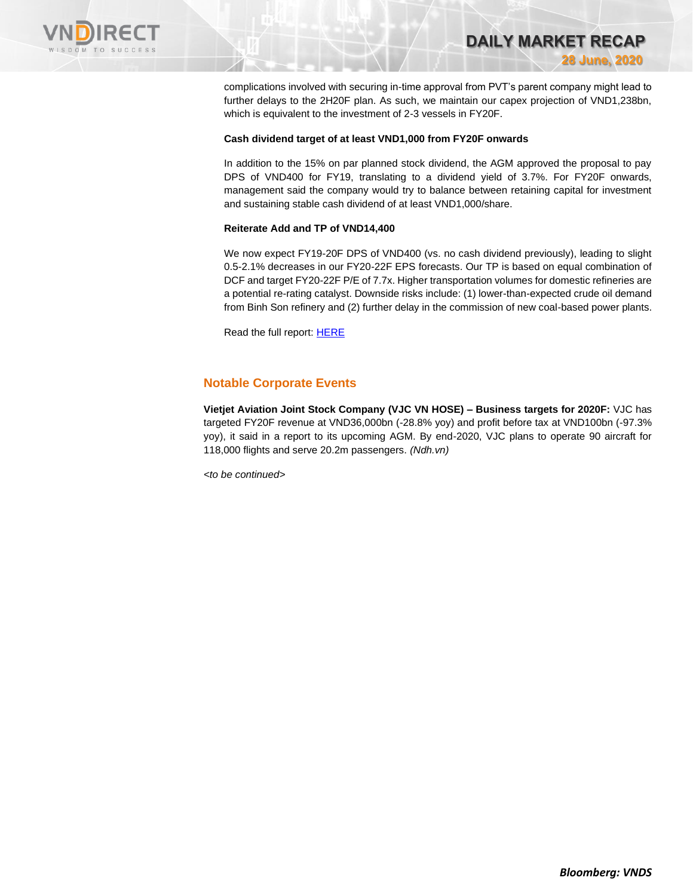

complications involved with securing in-time approval from PVT's parent company might lead to further delays to the 2H20F plan. As such, we maintain our capex projection of VND1,238bn, which is equivalent to the investment of 2-3 vessels in FY20F.

**DAILY MARKET RECAP** 

**28 June, 2020**

# **Cash dividend target of at least VND1,000 from FY20F onwards**

In addition to the 15% on par planned stock dividend, the AGM approved the proposal to pay DPS of VND400 for FY19, translating to a dividend yield of 3.7%. For FY20F onwards, management said the company would try to balance between retaining capital for investment and sustaining stable cash dividend of at least VND1,000/share.

## **Reiterate Add and TP of VND14,400**

We now expect FY19-20F DPS of VND400 (vs. no cash dividend previously), leading to slight 0.5-2.1% decreases in our FY20-22F EPS forecasts. Our TP is based on equal combination of DCF and target FY20-22F P/E of 7.7x. Higher transportation volumes for domestic refineries are a potential re-rating catalyst. Downside risks include: (1) lower-than-expected crude oil demand from Binh Son refinery and (2) further delay in the commission of new coal-based power plants.

Read the full report[: HERE](https://nhanha-public-api.vndirect.com.vn/click/OGE0ODlmZDA3MDFjZjM0OTAxNzAxZWQ4OTRkZjAwMDk=/Y2I1NDk1YWY3NjdkNGU4NDk5OGU3YTA0MWNhYThiYjU=/cb5495af767d4e84998e7a041caa8bb5-PVT_AGMNote_20200626.pdf/cmVzZWFyY2hAdm5kaXJlY3QuY29tLnZu/MTk2MjU=)

# **Notable Corporate Events**

**Vietjet Aviation Joint Stock Company (VJC VN HOSE) – Business targets for 2020F:** VJC has targeted FY20F revenue at VND36,000bn (-28.8% yoy) and profit before tax at VND100bn (-97.3% yoy), it said in a report to its upcoming AGM. By end-2020, VJC plans to operate 90 aircraft for 118,000 flights and serve 20.2m passengers. *(Ndh.vn)*

*<to be continued>*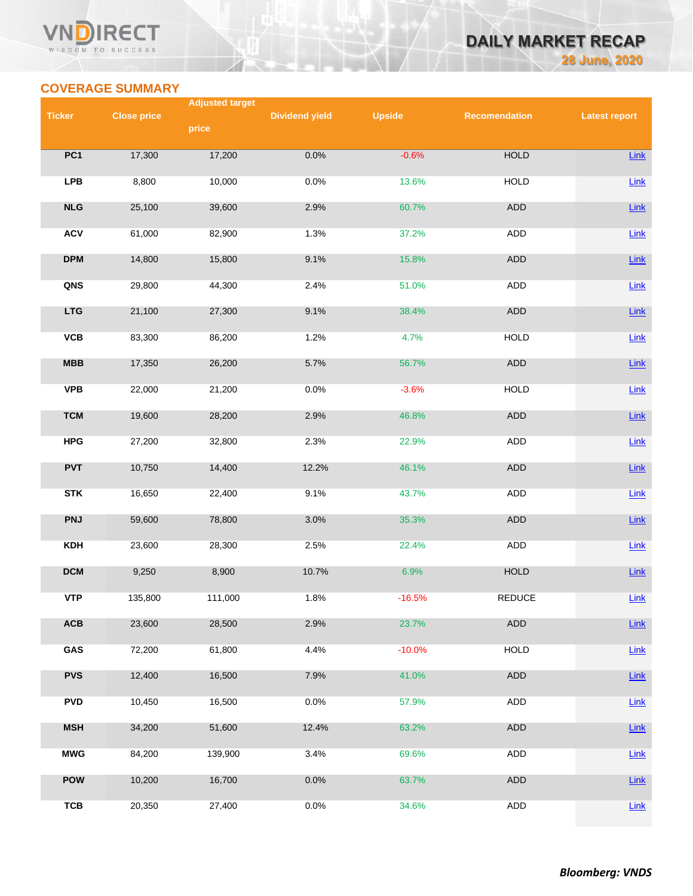# **VN RECT** WISDOM TO SUCCESS

# **DAILY MARKET RECAP 28 June, 2020**

# **COVERAGE SUMMARY**

|               |                    | <b>Adjusted target</b> |                       |               |                      |                      |
|---------------|--------------------|------------------------|-----------------------|---------------|----------------------|----------------------|
| <b>Ticker</b> | <b>Close price</b> | price                  | <b>Dividend yield</b> | <b>Upside</b> | <b>Recomendation</b> | <b>Latest report</b> |
|               |                    |                        |                       |               |                      |                      |
| PC1           | 17,300             | 17,200                 | 0.0%                  | $-0.6%$       | <b>HOLD</b>          | <b>Link</b>          |
| <b>LPB</b>    | 8,800              | 10,000                 | 0.0%                  | 13.6%         | <b>HOLD</b>          | Link                 |
| NLG           | 25,100             | 39,600                 | 2.9%                  | 60.7%         | <b>ADD</b>           | Link                 |
| <b>ACV</b>    | 61,000             | 82,900                 | 1.3%                  | 37.2%         | <b>ADD</b>           | Link                 |
| <b>DPM</b>    | 14,800             | 15,800                 | 9.1%                  | 15.8%         | ADD                  | Link                 |
| QNS           | 29,800             | 44,300                 | 2.4%                  | 51.0%         | ADD                  | Link                 |
| <b>LTG</b>    | 21,100             | 27,300                 | 9.1%                  | 38.4%         | ADD                  | Link                 |
| VCB           | 83,300             | 86,200                 | 1.2%                  | 4.7%          | <b>HOLD</b>          | $Link$               |
| MBB           | 17,350             | 26,200                 | 5.7%                  | 56.7%         | <b>ADD</b>           | Link                 |
| <b>VPB</b>    | 22,000             | 21,200                 | 0.0%                  | $-3.6%$       | <b>HOLD</b>          | Link                 |
| <b>TCM</b>    | 19,600             | 28,200                 | 2.9%                  | 46.8%         | <b>ADD</b>           | Link                 |
| <b>HPG</b>    | 27,200             | 32,800                 | 2.3%                  | 22.9%         | ADD                  | $Link$               |
| <b>PVT</b>    | 10,750             | 14,400                 | 12.2%                 | 46.1%         | ADD                  | Link                 |
| <b>STK</b>    | 16,650             | 22,400                 | 9.1%                  | 43.7%         | ADD                  | $Link$               |
| <b>PNJ</b>    | 59,600             | 78,800                 | 3.0%                  | 35.3%         | ADD                  | <b>Link</b>          |
| <b>KDH</b>    | 23,600             | 28,300                 | 2.5%                  | 22.4%         | <b>ADD</b>           | Link                 |
| <b>DCM</b>    | 9,250              | 8,900                  | 10.7%                 | 6.9%          | <b>HOLD</b>          | <b>Link</b>          |
| <b>VTP</b>    | 135,800            | 111,000                | 1.8%                  | $-16.5%$      | <b>REDUCE</b>        | Link                 |
| ACB           | 23,600             | 28,500                 | 2.9%                  | 23.7%         | <b>ADD</b>           | Link                 |
| GAS           | 72,200             | 61,800                 | 4.4%                  | $-10.0%$      | <b>HOLD</b>          | <b>Link</b>          |
| <b>PVS</b>    | 12,400             | 16,500                 | 7.9%                  | 41.0%         | ADD                  | Link                 |
| <b>PVD</b>    | 10,450             | 16,500                 | 0.0%                  | 57.9%         | <b>ADD</b>           | Link                 |
| <b>MSH</b>    | 34,200             | 51,600                 | 12.4%                 | 63.2%         | ADD                  | Link                 |
| <b>MWG</b>    | 84,200             | 139,900                | 3.4%                  | 69.6%         | ADD                  | <b>Link</b>          |
| <b>POW</b>    | 10,200             | 16,700                 | 0.0%                  | 63.7%         | ADD                  | <b>Link</b>          |
| <b>TCB</b>    | 20,350             | 27,400                 | 0.0%                  | 34.6%         | ADD                  | Link                 |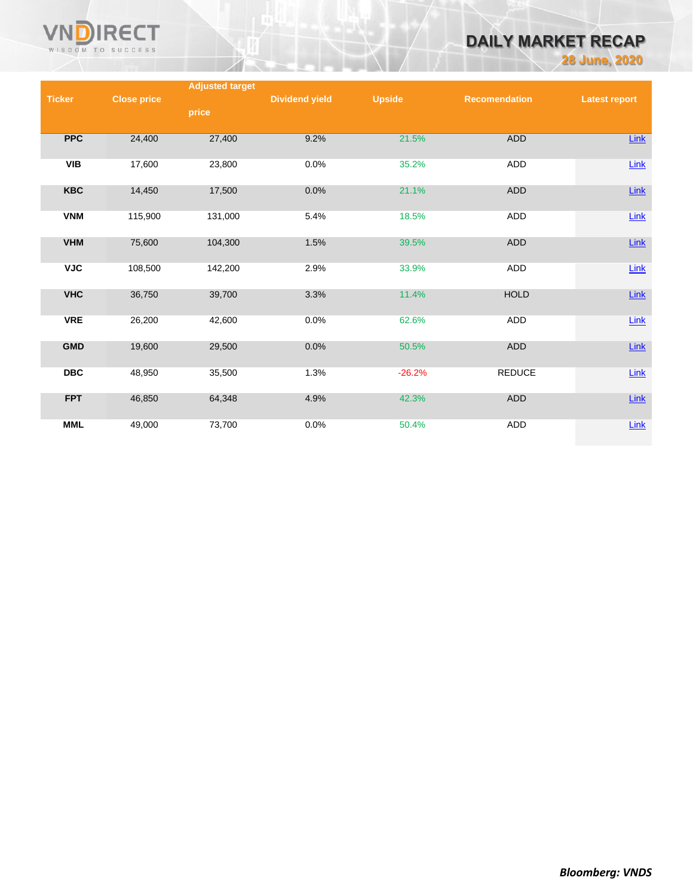

# **DAILY MARKET RECAP**

**28 June, 2020**

|               |                    | <b>Adjusted target</b> |                       |               |                      |                      |
|---------------|--------------------|------------------------|-----------------------|---------------|----------------------|----------------------|
| <b>Ticker</b> | <b>Close price</b> |                        | <b>Dividend yield</b> | <b>Upside</b> | <b>Recomendation</b> | <b>Latest report</b> |
|               |                    | price                  |                       |               |                      |                      |
|               |                    |                        |                       |               |                      |                      |
| <b>PPC</b>    | 24,400             | 27,400                 | 9.2%                  | 21.5%         | ADD                  | Link                 |
|               |                    |                        |                       |               |                      |                      |
| VIB           | 17,600             | 23,800                 | 0.0%                  | 35.2%         | ADD                  | $Link$               |
|               |                    |                        |                       |               |                      |                      |
| <b>KBC</b>    | 14,450             | 17,500                 | 0.0%                  | 21.1%         | ADD                  | $Link$               |
|               |                    |                        |                       |               |                      |                      |
| <b>VNM</b>    | 115,900            | 131,000                | 5.4%                  | 18.5%         | ADD                  | $Link$               |
|               |                    |                        |                       |               |                      |                      |
| <b>VHM</b>    | 75,600             | 104,300                | 1.5%                  | 39.5%         | ADD                  | $Link$               |
|               |                    |                        |                       |               |                      |                      |
| <b>VJC</b>    | 108,500            | 142,200                | 2.9%                  | 33.9%         | ADD                  | $Link$               |
|               |                    |                        |                       |               |                      |                      |
| <b>VHC</b>    | 36,750             | 39,700                 | 3.3%                  | 11.4%         | <b>HOLD</b>          | $Link$               |
|               |                    |                        |                       |               |                      |                      |
| <b>VRE</b>    | 26,200             | 42,600                 | 0.0%                  | 62.6%         | ADD                  | $Link$               |
|               |                    |                        |                       |               |                      |                      |
| <b>GMD</b>    | 19,600             | 29,500                 | 0.0%                  | 50.5%         | ADD                  | Link                 |
|               |                    |                        |                       |               |                      |                      |
| <b>DBC</b>    | 48,950             | 35,500                 | 1.3%                  | $-26.2%$      | <b>REDUCE</b>        | $Link$               |
|               |                    |                        |                       |               |                      |                      |
| <b>FPT</b>    | 46,850             | 64,348                 | 4.9%                  | 42.3%         | <b>ADD</b>           | <b>Link</b>          |
|               |                    |                        |                       |               |                      |                      |
| <b>MML</b>    | 49,000             | 73,700                 | 0.0%                  | 50.4%         | ADD                  | <b>Link</b>          |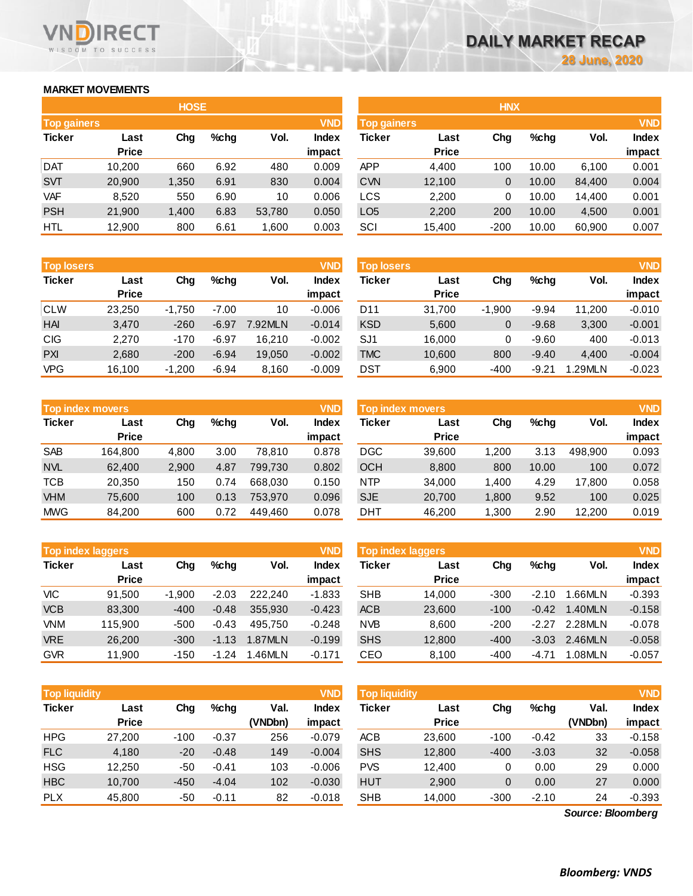# **MARKET MOVEMENTS**

WISDOM TO SUCCESS

**RECT** 

**VN** 

| <b>HOSE</b>        |              |       |      |        |              |  |  |  |  |  |
|--------------------|--------------|-------|------|--------|--------------|--|--|--|--|--|
| <b>Top gainers</b> |              |       |      |        | <b>VND</b>   |  |  |  |  |  |
| <b>Ticker</b>      | Last         | Cha   | %chq | Vol.   | <b>Index</b> |  |  |  |  |  |
|                    | <b>Price</b> |       |      |        | impact       |  |  |  |  |  |
| <b>DAT</b>         | 10,200       | 660   | 6.92 | 480    | 0.009        |  |  |  |  |  |
| <b>SVT</b>         | 20,900       | 1,350 | 6.91 | 830    | 0.004        |  |  |  |  |  |
| <b>VAF</b>         | 8.520        | 550   | 6.90 | 10     | 0.006        |  |  |  |  |  |
| <b>PSH</b>         | 21,900       | 1,400 | 6.83 | 53,780 | 0.050        |  |  |  |  |  |
| HTL                | 12,900       | 800   | 6.61 | 1,600  | 0.003        |  |  |  |  |  |

| <b>Top losers</b> |              |          |         |         | <b>VND</b>   |
|-------------------|--------------|----------|---------|---------|--------------|
| <b>Ticker</b>     | Last         | Cha      | %chq    | Vol.    | <b>Index</b> |
|                   | <b>Price</b> |          |         |         | impact       |
| <b>CLW</b>        | 23,250       | $-1,750$ | $-7.00$ | 10      | $-0.006$     |
| <b>HAI</b>        | 3,470        | $-260$   | $-6.97$ | 7.92MLN | $-0.014$     |
| <b>CIG</b>        | 2.270        | $-170$   | $-6.97$ | 16.210  | $-0.002$     |
| <b>PXI</b>        | 2,680        | $-200$   | $-6.94$ | 19,050  | $-0.002$     |
| <b>VPG</b>        | 16,100       | $-1,200$ | $-6.94$ | 8,160   | $-0.009$     |

| <b>VND</b><br><b>Top index movers</b> |              |       |      |         |              |  |  |  |  |
|---------------------------------------|--------------|-------|------|---------|--------------|--|--|--|--|
| <b>Ticker</b>                         | Last         |       | %chq | Vol.    | <b>Index</b> |  |  |  |  |
|                                       | <b>Price</b> |       |      |         | impact       |  |  |  |  |
| <b>SAB</b>                            | 164,800      | 4,800 | 3.00 | 78,810  | 0.878        |  |  |  |  |
| <b>NVL</b>                            | 62,400       | 2,900 | 4.87 | 799,730 | 0.802        |  |  |  |  |
| <b>TCB</b>                            | 20,350       | 150   | 0.74 | 668,030 | 0.150        |  |  |  |  |
| <b>VHM</b>                            | 75,600       | 100   | 0.13 | 753,970 | 0.096        |  |  |  |  |
| <b>MWG</b>                            | 84,200       | 600   | 0.72 | 449.460 | 0.078        |  |  |  |  |

| <b>VND</b><br><b>Top index laggers</b> |              |          |         |         |              |  |  |  |  |
|----------------------------------------|--------------|----------|---------|---------|--------------|--|--|--|--|
| <b>Ticker</b>                          | Last         | Cha      | %chq    | Vol.    | <b>Index</b> |  |  |  |  |
|                                        | <b>Price</b> |          |         |         | impact       |  |  |  |  |
| VIC                                    | 91,500       | $-1,900$ | $-2.03$ | 222.240 | $-1.833$     |  |  |  |  |
| <b>VCB</b>                             | 83,300       | $-400$   | $-0.48$ | 355,930 | $-0.423$     |  |  |  |  |
| <b>VNM</b>                             | 115,900      | $-500$   | $-0.43$ | 495.750 | $-0.248$     |  |  |  |  |
| <b>VRE</b>                             | 26,200       | $-300$   | $-1.13$ | 1.87MLN | $-0.199$     |  |  |  |  |
| <b>GVR</b>                             | 11,900       | $-150$   | $-1.24$ | 1.46MLN | $-0.171$     |  |  |  |  |

|               | <b>Top liquidity</b><br><b>VND</b> |        |         |                 |                        | Top liquidity |                      |        |         |                 | <b>VND</b>      |
|---------------|------------------------------------|--------|---------|-----------------|------------------------|---------------|----------------------|--------|---------|-----------------|-----------------|
| <b>Ticker</b> | Last<br><b>Price</b>               | Chg    | $%$ chg | Val.<br>(VNDbn) | <b>Index</b><br>impact | Ticker        | Last<br><b>Price</b> | Chg    | %chg    | Val.<br>(VNDbn) | Index<br>impact |
| <b>HPG</b>    | 27,200                             | $-100$ | $-0.37$ | 256             | $-0.079$               | <b>ACB</b>    | 23,600               | $-100$ | $-0.42$ | 33              | $-0.158$        |
| <b>FLC</b>    | 4.180                              | $-20$  | $-0.48$ | 149             | $-0.004$               | <b>SHS</b>    | 12,800               | $-400$ | $-3.03$ | 32              | $-0.058$        |
| <b>HSG</b>    | 12,250                             | -50    | $-0.41$ | 103             | $-0.006$               | <b>PVS</b>    | 12,400               | 0      | 0.00    | 29              | 0.000           |
| <b>HBC</b>    | 10,700                             | $-450$ | $-4.04$ | 102             | $-0.030$               | <b>HUT</b>    | 2,900                | 0      | 0.00    | 27              | 0.000           |
| <b>PLX</b>    | 45,800                             | -50    | $-0.11$ | 82              | $-0.018$               | <b>SHB</b>    | 14,000               | $-300$ | $-2.10$ | 24              | $-0.393$        |

|                                  |              | <b>HOSE</b> |         |        |              | <b>HNX</b>      |                                  |        |         |        |              |
|----------------------------------|--------------|-------------|---------|--------|--------------|-----------------|----------------------------------|--------|---------|--------|--------------|
| <b>VND</b><br><b>Top gainers</b> |              |             |         |        |              |                 | <b>VND</b><br><b>Top gainers</b> |        |         |        |              |
| Ticker                           | Last         | Chg         | $%$ chg | Vol.   | <b>Index</b> | Ticker          | Last                             | Chg    | $%$ chg | Vol.   | <b>Index</b> |
|                                  | <b>Price</b> |             |         |        | impact       |                 | <b>Price</b>                     |        |         |        | impact       |
| Dat                              | 10,200       | 660         | 6.92    | 480    | 0.009        | <b>APP</b>      | 4,400                            | 100    | 10.00   | 6,100  | 0.001        |
| <b>SVT</b>                       | 20,900       | 1,350       | 6.91    | 830    | 0.004        | <b>CVN</b>      | 12,100                           | 0      | 10.00   | 84,400 | 0.004        |
| VAF                              | 8,520        | 550         | 6.90    | 10     | 0.006        | LCS             | 2,200                            | 0      | 10.00   | 14.400 | 0.001        |
| <b>PSH</b>                       | 21,900       | 1,400       | 6.83    | 53,780 | 0.050        | LO <sub>5</sub> | 2,200                            | 200    | 10.00   | 4,500  | 0.001        |
| HTL                              | 12,900       | 800         | 6.61    | 006,   | 0.003        | SCI             | 15,400                           | $-200$ | 10.00   | 60,900 | 0.007        |
|                                  |              |             |         |        |              |                 |                                  |        |         |        |              |

| <b>Top losers</b> |              |          |         |         | <b>VND</b> | <b>Top losers</b> |              |          |         |        | <b>VND</b>   |
|-------------------|--------------|----------|---------|---------|------------|-------------------|--------------|----------|---------|--------|--------------|
| Ticker            | Last         | Chg      | $%$ chg | Vol.    | Index      | Ticker            | Last         | Chg      | $%$ chq | Vol.   | <b>Index</b> |
|                   | <b>Price</b> |          |         |         | impact     |                   | <b>Price</b> |          |         |        | impact       |
| CLW               | 23,250       | $-1.750$ | $-7.00$ | 10      | $-0.006$   | D11               | 31,700       | $-1,900$ | $-9.94$ | 11.200 | $-0.010$     |
| HAI               | 3,470        | $-260$   | $-6.97$ | 7.92MLN | $-0.014$   | <b>KSD</b>        | 5,600        | 0        | $-9.68$ | 3,300  | $-0.001$     |
| CIG               | 2,270        | $-170$   | $-6.97$ | 16.210  | $-0.002$   | SJ1               | 16,000       | 0        | $-9.60$ | 400    | $-0.013$     |
| <b>PXI</b>        | 2,680        | $-200$   | $-6.94$ | 19,050  | $-0.002$   | <b>TMC</b>        | 10,600       | 800      | $-9.40$ | 4.400  | $-0.004$     |
| VPG               | 16.100       | $-1,200$ | $-6.94$ | 8,160   | $-0.009$   | DST               | 6,900        | -400     | $-9.21$ | .29MLN | $-0.023$     |

|            | <b>Top index movers</b> |       |         |                         | <b>VND</b> | <b>Top index movers</b> |                      | <b>VND</b> |       |         |                        |
|------------|-------------------------|-------|---------|-------------------------|------------|-------------------------|----------------------|------------|-------|---------|------------------------|
| Ticker     | Last<br><b>Price</b>    | Chg   | $%$ chg | Vol.<br>Index<br>impact |            | Ticker                  | Last<br><b>Price</b> | Chg        | %chq  | Vol.    | <b>Index</b><br>impact |
| SAB        | 164.800                 | 4.800 | 3.00    | 78.810                  | 0.878      | DGC                     | 39,600               | 200. ا     | 3.13  | 498.900 | 0.093                  |
| <b>NVL</b> | 62.400                  | 2.900 | 4.87    | 799.730                 | 0.802      | OCH                     | 8,800                | 800        | 10.00 | 100     | 0.072                  |
| TCB        | 20.350                  | 150   | 0.74    | 668.030                 | 0.150      | <b>NTP</b>              | 34,000               | 1.400      | 4.29  | 17.800  | 0.058                  |
| <b>VHM</b> | 75,600                  | 100   | 0.13    | 753.970                 | 0.096      | <b>SJE</b>              | 20,700               | 1,800      | 9.52  | 100     | 0.025                  |
| <b>MWG</b> | 84,200                  | 600   | 0.72    | 449.460                 | 0.078      | DHT                     | 46,200               | 1,300      | 2.90  | 12.200  | 0.019                  |

|            | <b>Top index laggers</b> |          |         |         | <b>VND</b> | Top index laggers |              |        |         |         |              |
|------------|--------------------------|----------|---------|---------|------------|-------------------|--------------|--------|---------|---------|--------------|
| Ticker     | Last                     | Chg      | $%$ chg | Vol.    | Index      | Ticker            | Last         | Chg    | $%$ chg | Vol.    | <b>Index</b> |
|            | <b>Price</b>             |          |         |         | impact     |                   | <b>Price</b> |        |         |         | impact       |
| VIC        | 91.500                   | $-1.900$ | $-2.03$ | 222.240 | $-1.833$   | <b>SHB</b>        | 14.000       | $-300$ | $-2.10$ | .66MLN  | $-0.393$     |
| <b>VCB</b> | 83.300                   | $-400$   | $-0.48$ | 355.930 | $-0.423$   | <b>ACB</b>        | 23,600       | $-100$ | $-0.42$ | 1.40MLN | $-0.158$     |
| VNM        | 115.900                  | $-500$   | $-0.43$ | 495.750 | $-0.248$   | <b>NVB</b>        | 8,600        | $-200$ | $-2.27$ | 2.28MLN | $-0.078$     |
| <b>VRE</b> | 26,200                   | $-300$   | $-1.13$ | 1.87MLN | $-0.199$   | <b>SHS</b>        | 12,800       | $-400$ | $-3.03$ | 2.46MLN | $-0.058$     |
| GVR        | 11,900                   | $-150$   | $-1.24$ | .46MLN  | $-0.171$   | CEO               | 8,100        | $-400$ | $-4.71$ | .08MLN  | $-0.057$     |

| <b>Top liquidity</b> |              |        |         |         | <b>VND</b> | <b>Top liquidity</b> |              |        |         |                   | <b>VND</b>   |
|----------------------|--------------|--------|---------|---------|------------|----------------------|--------------|--------|---------|-------------------|--------------|
| Ticker               | Last         | Chg    | $%$ chg | Val.    | Index      | Ticker               | Last         | Chg    | $%$ chg | Val.              | <b>Index</b> |
|                      | <b>Price</b> |        |         | (VNDbn) | impact     |                      | <b>Price</b> |        |         | (VNDbn)           | impact       |
| HPG                  | 27,200       | $-100$ | $-0.37$ | 256     | $-0.079$   | <b>ACB</b>           | 23,600       | $-100$ | $-0.42$ | 33                | $-0.158$     |
| <b>FLC</b>           | 4,180        | $-20$  | $-0.48$ | 149     | $-0.004$   | <b>SHS</b>           | 12,800       | $-400$ | $-3.03$ | 32                | $-0.058$     |
| <b>HSG</b>           | 12,250       | $-50$  | $-0.41$ | 103     | $-0.006$   | <b>PVS</b>           | 12,400       | 0      | 0.00    | 29                | 0.000        |
| <b>HBC</b>           | 10.700       | $-450$ | $-4.04$ | 102     | $-0.030$   | <b>HUT</b>           | 2,900        | 0      | 0.00    | 27                | 0.000        |
| <b>PLX</b>           | 45,800       | -50    | $-0.11$ | 82      | $-0.018$   | <b>SHB</b>           | 14,000       | $-300$ | $-2.10$ | 24                | $-0.393$     |
|                      |              |        |         |         |            |                      |              |        |         | Source: Bloomberg |              |

*Source: Bloomberg*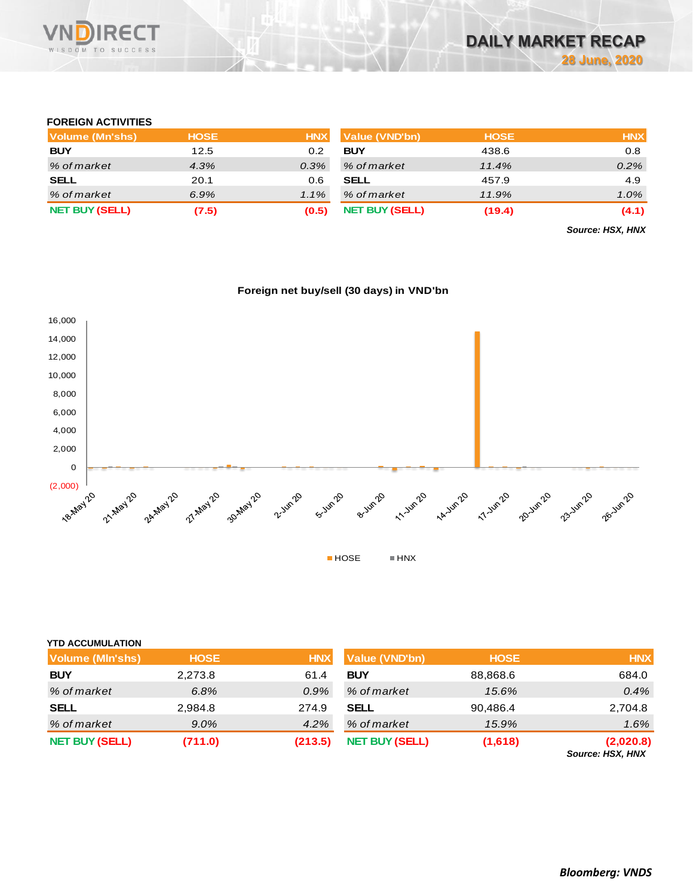

# **FOREIGN ACTIVITIES**

| Volume (Mn'shs)       | <b>HOSE</b> | <b>HNX</b> | Value (VND'bn)        | <b>HOSE</b> | <b>HNX</b> |
|-----------------------|-------------|------------|-----------------------|-------------|------------|
| <b>BUY</b>            | 12.5        | 0.2        | <b>BUY</b>            | 438.6       | 0.8        |
| % of market           | 4.3%        | $0.3\%$    | % of market           | 11.4%       | $0.2\%$    |
| <b>SELL</b>           | 20.1        | 0.6        | <b>SELL</b>           | 457.9       | 4.9        |
| % of market           | 6.9%        | $1.1\%$    | % of market           | 11.9%       | $1.0\%$    |
| <b>NET BUY (SELL)</b> | (7.5)       | (0.5)      | <b>NET BUY (SELL)</b> | (19.4)      | (4.1)      |

*Source: HSX, HNX*





| <b>YTD ACCUMULATION</b> |             |            |                       |             |                               |
|-------------------------|-------------|------------|-----------------------|-------------|-------------------------------|
| <b>Volume (MIn'shs)</b> | <b>HOSE</b> | <b>HNX</b> | <b>Value (VND'bn)</b> | <b>HOSE</b> | <b>HNX</b>                    |
| <b>BUY</b>              | 2,273.8     | 61.4       | <b>BUY</b>            | 88,868.6    | 684.0                         |
| % of market             | 6.8%        | $0.9\%$    | % of market           | 15.6%       | 0.4%                          |
| <b>SELL</b>             | 2,984.8     | 274.9      | <b>SELL</b>           | 90,486.4    | 2,704.8                       |
| % of market             | $9.0\%$     | 4.2%       | % of market           | 15.9%       | 1.6%                          |
| <b>NET BUY (SELL)</b>   | (711.0)     | (213.5)    | <b>NET BUY (SELL)</b> | (1,618)     | (2,020.8)<br>Source: HSX, HNX |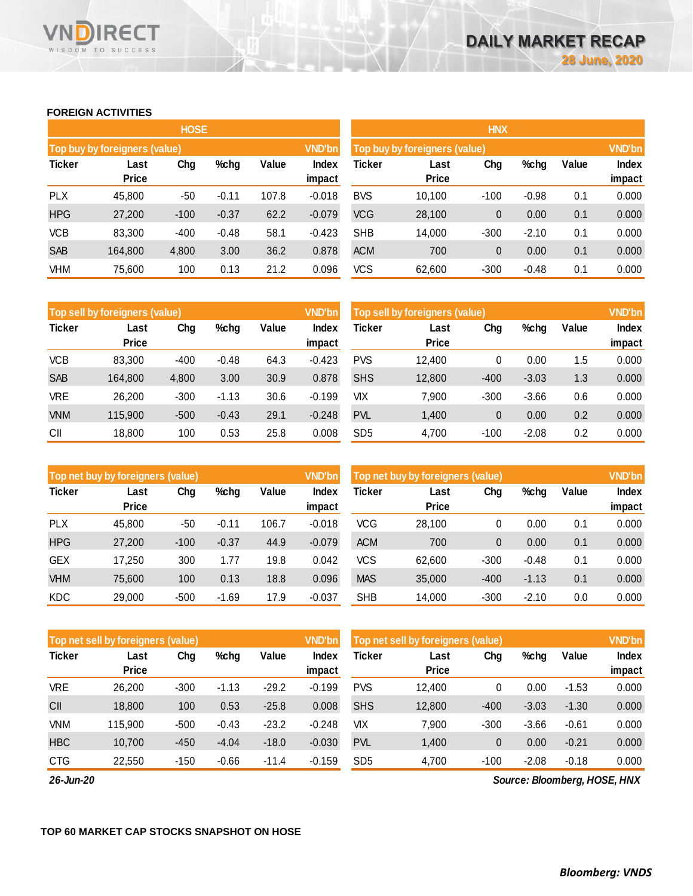# **FOREIGN ACTIVITIES**

WISDOM TO SUCCESS

RECT

|               |                                                 | <b>HOSE</b> |         |       |                 | <b>HNX</b>                                     |               |          |         |       |                 |  |
|---------------|-------------------------------------------------|-------------|---------|-------|-----------------|------------------------------------------------|---------------|----------|---------|-------|-----------------|--|
|               | Top buy by foreigners (value)                   |             |         |       | <b>VND'bn</b>   | <b>VND'bn</b><br>Top buy by foreigners (value) |               |          |         |       |                 |  |
| <b>Ticker</b> | Chg<br>$%$ chg<br>Value<br>Last<br><b>Price</b> |             |         |       | Index<br>impact | <b>Ticker</b>                                  | Last<br>Price | Chg      | %chg    | Value | Index<br>impact |  |
| <b>PLX</b>    | 45,800                                          | $-50$       | $-0.11$ | 107.8 | $-0.018$        | <b>BVS</b>                                     | 10,100        | $-100$   | $-0.98$ | 0.1   | 0.000           |  |
| <b>HPG</b>    | 27,200                                          | $-100$      | $-0.37$ | 62.2  | $-0.079$        | <b>VCG</b>                                     | 28,100        | 0        | 0.00    | 0.1   | 0.000           |  |
| <b>VCB</b>    | 83,300                                          | $-400$      | $-0.48$ | 58.1  | $-0.423$        | <b>SHB</b>                                     | 14,000        | $-300$   | $-2.10$ | 0.1   | 0.000           |  |
| <b>SAB</b>    | 164.800                                         | 4,800       | 3.00    | 36.2  | 0.878           | <b>ACM</b>                                     | 700           | $\theta$ | 0.00    | 0.1   | 0.000           |  |
| <b>VHM</b>    | 75,600                                          | 100         | 0.13    | 21.2  | 0.096           | <b>VCS</b>                                     | 62,600        | $-300$   | $-0.48$ | 0.1   | 0.000           |  |

|               | Top sell by foreigners (value) |        |         |       | <b>VND'bn</b>   | Top sell by foreigners (value) |                      | <b>VND'bn</b> |         |       |                 |
|---------------|--------------------------------|--------|---------|-------|-----------------|--------------------------------|----------------------|---------------|---------|-------|-----------------|
| <b>Ticker</b> | Last<br><b>Price</b>           | Chg    | %chg    | Value | Index<br>impact | Ticker                         | Last<br><b>Price</b> | Chg           | %chg    | Value | Index<br>impact |
| <b>VCB</b>    | 83.300                         | $-400$ | $-0.48$ | 64.3  | $-0.423$        | <b>PVS</b>                     | 12.400               | 0             | 0.00    | 1.5   | 0.000           |
| <b>SAB</b>    | 164.800                        | 4,800  | 3.00    | 30.9  | 0.878           | <b>SHS</b>                     | 12,800               | $-400$        | $-3.03$ | 1.3   | 0.000           |
| <b>VRE</b>    | 26.200                         | $-300$ | $-1.13$ | 30.6  | $-0.199$        | VIХ                            | 7.900                | $-300$        | $-3.66$ | 0.6   | 0.000           |
| <b>VNM</b>    | 115.900                        | $-500$ | $-0.43$ | 29.1  | $-0.248$        | <b>PVL</b>                     | 1.400                | 0             | 0.00    | 0.2   | 0.000           |
| CII           | 18,800                         | 100    | 0.53    | 25.8  | 0.008           | SD <sub>5</sub>                | 4.700                | $-100$        | $-2.08$ | 0.2   | 0.000           |

|               | Top net buy by foreigners (value) |        |         |       | <b>VND'bn</b>          | Top net buy by foreigners (value) |                      | <b>VND'bn</b> |         |       |                 |
|---------------|-----------------------------------|--------|---------|-------|------------------------|-----------------------------------|----------------------|---------------|---------|-------|-----------------|
| <b>Ticker</b> | Last<br><b>Price</b>              | Chg    | %chg    | Value | <b>Index</b><br>impact | Ticker                            | Last<br><b>Price</b> | Chg           | %chg    | Value | Index<br>impact |
| <b>PLX</b>    | 45.800                            | -50    | $-0.11$ | 106.7 | $-0.018$               | <b>VCG</b>                        | 28.100               | 0             | 0.00    | 0.1   | 0.000           |
| <b>HPG</b>    | 27,200                            | $-100$ | $-0.37$ | 44.9  | $-0.079$               | <b>ACM</b>                        | 700                  | 0             | 0.00    | 0.1   | 0.000           |
| <b>GEX</b>    | 17.250                            | 300    | 1.77    | 19.8  | 0.042                  | <b>VCS</b>                        | 62,600               | $-300$        | $-0.48$ | 0.1   | 0.000           |
| <b>VHM</b>    | 75.600                            | 100    | 0.13    | 18.8  | 0.096                  | <b>MAS</b>                        | 35,000               | $-400$        | $-1.13$ | 0.1   | 0.000           |
| KDC           | 29.000                            | $-500$ | $-1.69$ | 17.9  | $-0.037$               | <b>SHB</b>                        | 14.000               | $-300$        | $-2.10$ | 0.0   | 0.000           |

|               | Top net sell by foreigners (value) |        |         |         | <b>VND'bn</b>   | Top net sell by foreigners (value) |                      |        |         |         | <b>VND'bn</b>   |
|---------------|------------------------------------|--------|---------|---------|-----------------|------------------------------------|----------------------|--------|---------|---------|-----------------|
| <b>Ticker</b> | Last<br><b>Price</b>               | Chg    | %chg    | Value   | Index<br>impact | Ticker                             | Last<br><b>Price</b> | Chg    | %chg    | Value   | Index<br>impact |
| <b>VRE</b>    | 26.200                             | $-300$ | $-1.13$ | $-29.2$ | $-0.199$        | <b>PVS</b>                         | 12.400               | 0      | 0.00    | $-1.53$ | 0.000           |
| CII           | 18,800                             | 100    | 0.53    | $-25.8$ | 0.008           | <b>SHS</b>                         | 12,800               | $-400$ | $-3.03$ | $-1.30$ | 0.000           |
| <b>VNM</b>    | 115.900                            | $-500$ | $-0.43$ | $-23.2$ | $-0.248$        | VIХ                                | 7.900                | $-300$ | $-3.66$ | $-0.61$ | 0.000           |
| <b>HBC</b>    | 10.700                             | $-450$ | $-4.04$ | $-18.0$ | $-0.030$        | <b>PVL</b>                         | 1.400                | 0      | 0.00    | $-0.21$ | 0.000           |
| <b>CTG</b>    | 22,550                             | $-150$ | $-0.66$ | $-11.4$ | $-0.159$        | SD <sub>5</sub>                    | 4,700                | $-100$ | $-2.08$ | $-0.18$ | 0.000           |

*26-Jun-20*

*Source: Bloomberg, HOSE, HNX*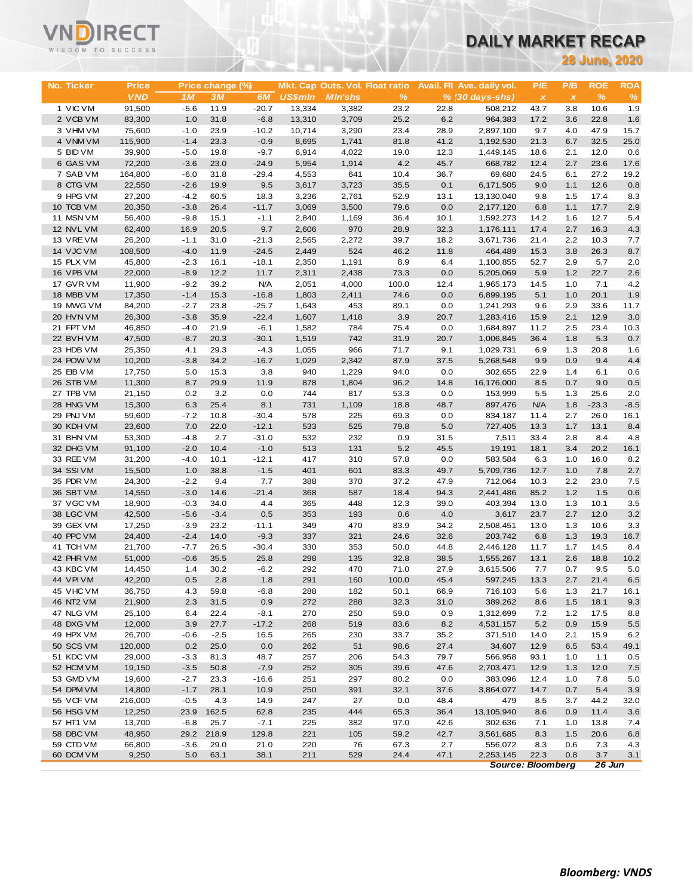# VNĒ

# **DAILY MARKET RECAP**

|                        | WISDOM TO SUCCESS |                  |                  |                   |                  | DAILY MARKET RECAP |                                 |              |                            |                          |                           |              |                      |
|------------------------|-------------------|------------------|------------------|-------------------|------------------|--------------------|---------------------------------|--------------|----------------------------|--------------------------|---------------------------|--------------|----------------------|
|                        |                   |                  |                  |                   |                  |                    |                                 |              |                            |                          |                           |              | <b>28 June, 2020</b> |
|                        |                   |                  |                  |                   |                  |                    |                                 |              |                            |                          |                           |              |                      |
| No. Ticker             | <b>Price</b>      |                  | Price change (%) |                   |                  |                    | Mkt. Cap Outs. Vol. Float ratio |              | Avail. Fil Ave. daily vol. | P/E                      | P/B                       | <b>ROE</b>   | <b>ROA</b>           |
|                        | <b>VND</b>        | 1 <sub>M</sub>   | 3M               | 6M                | <b>US\$mln</b>   | <b>MIn'shs</b>     | %                               |              | $% (30 days-shs)$          | $\pmb{\times}$           | $\boldsymbol{\mathsf{x}}$ | %            | $\%$                 |
| 1 VIC VM<br>2 VCB VM   | 91,500<br>83,300  | $-5.6$<br>1.0    | 11.9<br>31.8     | $-20.7$<br>$-6.8$ | 13,334<br>13,310 | 3,382<br>3,709     | 23.2<br>25.2                    | 22.8<br>6.2  | 508,212<br>964,383         | 43.7<br>17.2             | 3.8<br>3.6                | 10.6<br>22.8 | 1.9<br>1.6           |
| 3 VHM VM               | 75,600            | $-1.0$           | 23.9             | $-10.2$           | 10,714           | 3,290              | 23.4                            | 28.9         | 2,897,100                  | 9.7                      | 4.0                       | 47.9         | 15.7                 |
| 4 VNM VM               | 115,900           | $-1.4$           | 23.3             | $-0.9$            | 8,695            | 1,741              | 81.8                            | 41.2         | 1,192,530                  | 21.3                     | 6.7                       | 32.5         | 25.0                 |
| 5 BID VM               | 39,900            | $-5.0$           | 19.8             | $-9.7$            | 6,914            | 4,022              | 19.0                            | 12.3         | 1,449,145                  | 18.6                     | 2.1                       | 12.0         | 0.6                  |
| 6 GAS VM               | 72,200            | $-3.6$           | 23.0             | $-24.9$           | 5,954            | 1,914              | 4.2                             | 45.7         | 668,782                    | 12.4                     | 2.7                       | 23.6         | 17.6                 |
| 7 SAB VM               | 164,800           | $-6.0$           | 31.8             | $-29.4$           | 4,553            | 641                | 10.4                            | 36.7         | 69,680                     | 24.5                     | 6.1                       | 27.2         | 19.2                 |
| 8 CTG VM               | 22,550            | $-2.6$           | 19.9             | 9.5               | 3,617            | 3,723              | 35.5                            | 0.1          | 6,171,505                  | 9.0                      | 1.1                       | 12.6         | 0.8                  |
| 9 HPG VM               | 27,200            | $-4.2$           | 60.5             | 18.3              | 3,236            | 2,761              | 52.9                            | 13.1         | 13,130,040                 | 9.8                      | 1.5                       | 17.4         | 8.3                  |
| 10 TCB VM              | 20,350            | $-3.8$           | 26.4             | $-11.7$           | 3,069            | 3,500              | 79.6                            | 0.0          | 2,177,120                  | 6.8                      | 1.1                       | 17.7         | 2.9                  |
| 11 MSN VM              | 56,400            | $-9.8$           | 15.1<br>20.5     | $-1.1$<br>9.7     | 2,840            | 1,169              | 36.4                            | 10.1         | 1,592,273                  | 14.2                     | 1.6                       | 12.7<br>16.3 | 5.4                  |
| 12 NVL VM<br>13 VRE VM | 62,400<br>26,200  | 16.9<br>$-1.1$   | 31.0             | $-21.3$           | 2,606<br>2,565   | 970<br>2,272       | 28.9<br>39.7                    | 32.3<br>18.2 | 1,176,111<br>3,671,736     | 17.4<br>21.4             | 2.7<br>2.2                | 10.3         | 4.3<br>7.7           |
| 14 VJC VM              | 108,500           | $-4.0$           | 11.9             | $-24.5$           | 2,449            | 524                | 46.2                            | 11.8         | 464,489                    | 15.3                     | 3.8                       | 26.3         | 8.7                  |
| 15 PLX VM              | 45,800            | $-2.3$           | 16.1             | $-18.1$           | 2,350            | 1,191              | 8.9                             | 6.4          | 1,100,855                  | 52.7                     | 2.9                       | 5.7          | 2.0                  |
| 16 VPB VM              | 22,000            | $-8.9$           | 12.2             | 11.7              | 2,311            | 2,438              | 73.3                            | 0.0          | 5,205,069                  | 5.9                      | 1.2                       | 22.7         | 2.6                  |
| 17 GVR VM              | 11,900            | $-9.2$           | 39.2             | <b>N/A</b>        | 2,051            | 4,000              | 100.0                           | 12.4         | 1,965,173                  | 14.5                     | 1.0                       | 7.1          | 4.2                  |
| 18 MBB VM              | 17,350            | $-1.4$           | 15.3             | $-16.8$           | 1,803            | 2,411              | 74.6                            | 0.0          | 6,899,195                  | 5.1                      | 1.0                       | 20.1         | 1.9                  |
| 19 MWG VM              | 84,200            | $-2.7$           | 23.8             | $-25.7$           | 1,643            | 453                | 89.1                            | 0.0          | 1,241,293                  | 9.6                      | 2.9                       | 33.6         | 11.7                 |
| 20 HVN VM              | 26,300            | $-3.8$           | 35.9             | $-22.4$           | 1,607            | 1,418              | 3.9                             | 20.7         | 1,283,416                  | 15.9                     | 2.1                       | 12.9         | 3.0                  |
| 21 FPT VM              | 46,850            | $-4.0$           | 21.9             | $-6.1$            | 1,582            | 784                | 75.4                            | 0.0          | 1,684,897                  | 11.2                     | 2.5                       | 23.4         | 10.3                 |
| 22 BVHVM               | 47,500            | $-8.7$           | 20.3             | $-30.1$           | 1,519            | 742                | 31.9                            | 20.7         | 1,006,845                  | 36.4                     | 1.8                       | 5.3          | 0.7                  |
| 23 HDB VM              | 25,350            | 4.1              | 29.3             | $-4.3$            | 1,055            | 966                | 71.7                            | 9.1          | 1,029,731                  | 6.9                      | 1.3                       | 20.8         | 1.6                  |
| 24 POW VM              | 10,200            | $-3.8$           | 34.2             | $-16.7$           | 1,029            | 2,342              | 87.9                            | 37.5         | 5,268,548                  | 9.9                      | 0.9                       | 9.4          | 4.4                  |
| 25 EIB VM              | 17,750            | 5.0              | 15.3             | 3.8               | 940              | 1,229              | 94.0                            | 0.0          | 302,655                    | 22.9                     | 1.4                       | 6.1          | 0.6                  |
| 26 STB VM<br>27 TPB VM | 11,300<br>21,150  | 8.7<br>0.2       | 29.9<br>3.2      | 11.9<br>0.0       | 878<br>744       | 1,804<br>817       | 96.2<br>53.3                    | 14.8<br>0.0  | 16,176,000<br>153,999      | 8.5<br>5.5               | 0.7<br>1.3                | 9.0<br>25.6  | 0.5<br>2.0           |
| 28 HNG VM              | 15,300            | 6.3              | 25.4             | 8.1               | 731              | 1,109              | 18.8                            | 48.7         | 897,476                    | <b>N/A</b>               | 1.8                       | $-23.3$      | $-8.5$               |
| 29 PNJ VM              | 59,600            | $-7.2$           | 10.8             | $-30.4$           | 578              | 225                | 69.3                            | 0.0          | 834,187                    | 11.4                     | 2.7                       | 26.0         | 16.1                 |
| 30 KDH VM              | 23,600            | 7.0              | 22.0             | $-12.1$           | 533              | 525                | 79.8                            | 5.0          | 727,405                    | 13.3                     | 1.7                       | 13.1         | 8.4                  |
| 31 BHN VM              | 53,300            | $-4.8$           | 2.7              | $-31.0$           | 532              | 232                | 0.9                             | 31.5         | 7,511                      | 33.4                     | 2.8                       | 8.4          | 4.8                  |
| 32 DHG VM              | 91,100            | $-2.0$           | 10.4             | $-1.0$            | 513              | 131                | 5.2                             | 45.5         | 19,191                     | 18.1                     | 3.4                       | 20.2         | 16.1                 |
| 33 REE VM              | 31,200            | $-4.0$           | 10.1             | $-12.1$           | 417              | 310                | 57.8                            | 0.0          | 583,584                    | 6.3                      | 1.0                       | 16.0         | 8.2                  |
| 34 SSIVM               | 15,500            | 1.0              | 38.8             | $-1.5$            | 401              | 601                | 83.3                            | 49.7         | 5,709,736                  | 12.7                     | 1.0                       | 7.8          | 2.7                  |
| 35 PDR VM              | 24,300            | $-2.2$           | 9.4              | 7.7               | 388              | 370                | 37.2                            | 47.9         | 712,064                    | 10.3                     | 2.2                       | 23.0         | 7.5                  |
| 36 SBT VM              | 14,550            | $-3.0$           | 14.6             | $-21.4$           | 368              | 587                | 18.4                            | 94.3         | 2,441,486                  | 85.2                     | 1.2                       | 1.5          | 0.6                  |
| 37 VGC VM              | 18,900            | $-0.3$           | 34.0             | 4.4               | 365              | 448                | 12.3                            | 39.0         | 403,394                    | 13.0                     | 1.3                       | 10.1         | 3.5                  |
| 38 LGC VM<br>39 GEX VM | 42,500<br>17,250  | $-5.6$<br>$-3.9$ | $-3.4$<br>23.2   | 0.5<br>$-11.1$    | 353<br>349       | 193<br>470         | 0.6<br>83.9                     | 4.0<br>34.2  | 3,617<br>2,508,451         | 23.7<br>13.0             | 2.7                       | 12.0<br>10.6 | 3.2<br>3.3           |
| 40 PPC VM              | 24,400            | $-2.4$           | 14.0             | $-9.3$            | 337              | 321                | 24.6                            | 32.6         | 203,742                    | 6.8                      | 1.3<br>1.3                | 19.3         | 16.7                 |
| 41 TCH VM              | 21,700            | $-7.7$           | 26.5             | 30.4              | 330              | 353                | 50.0                            | 44.8         | 2,446,128                  | 11.7                     | 1.7                       | 14.5         | 8.4                  |
| 42 PHR VM              | 51,000            | $-0.6$           | 35.5             | 25.8              | 298              | 135                | 32.8                            | 38.5         | 1,555,267                  | 13.1                     | 2.6                       | 18.8         | 10.2                 |
| 43 KBC VM              | 14,450            | 1.4              | 30.2             | $-6.2$            | 292              | 470                | 71.0                            | 27.9         | 3,615,506                  | 7.7                      | 0.7                       | 9.5          | 5.0                  |
| 44 VPIVM               | 42,200            | 0.5              | 2.8              | 1.8               | 291              | 160                | 100.0                           | 45.4         | 597,245                    | 13.3                     | 2.7                       | 21.4         | 6.5                  |
| 45 VHC VM              | 36,750            | 4.3              | 59.8             | $-6.8$            | 288              | 182                | 50.1                            | 66.9         | 716,103                    | 5.6                      | 1.3                       | 21.7         | 16.1                 |
| 46 NT2 VM              | 21,900            | 2.3              | 31.5             | 0.9               | 272              | 288                | 32.3                            | 31.0         | 389,262                    | 8.6                      | $1.5$                     | 18.1         | 9.3                  |
| 47 NLG VM              | 25,100            | 6.4              | 22.4             | $-8.1$            | 270              | 250                | 59.0                            | 0.9          | 1,312,699                  | 7.2                      | 1.2                       | 17.5         | 8.8                  |
| 48 DXG VM              | 12,000            | 3.9              | 27.7             | $-17.2$           | 268              | 519                | 83.6                            | 8.2          | 4,531,157                  | 5.2                      | 0.9                       | 15.9         | 5.5                  |
| 49 HPX VM              | 26,700            | $-0.6$           | $-2.5$           | 16.5              | 265              | 230                | 33.7                            | 35.2         | 371,510                    | 14.0                     | 2.1                       | 15.9         | 6.2                  |
| 50 SCS VM              | 120,000           | 0.2              | 25.0             | 0.0               | 262              | 51                 | 98.6                            | 27.4         | 34,607                     | 12.9                     | 6.5                       | 53.4         | 49.1                 |
| 51 KDC VM<br>52 HCM VM | 29,000            | $-3.3$           | 81.3             | 48.7              | 257              | 206                | 54.3                            | 79.7         | 566,958                    | 93.1                     | 1.0                       | 1.1          | 0.5                  |
| 53 GMD VM              | 19,150<br>19,600  | $-3.5$<br>$-2.7$ | 50.8<br>23.3     | $-7.9$<br>$-16.6$ | 252<br>251       | 305<br>297         | 39.6<br>80.2                    | 47.6<br>0.0  | 2,703,471<br>383,096       | 12.9<br>12.4             | 1.3<br>1.0                | 12.0<br>7.8  | 7.5<br>5.0           |
| 54 DPM VM              | 14,800            | $-1.7$           | 28.1             | 10.9              | 250              | 391                | 32.1                            | 37.6         | 3,864,077                  | 14.7                     | 0.7                       | 5.4          | 3.9                  |
| 55 VCF VM              | 216,000           | $-0.5$           | 4.3              | 14.9              | 247              | 27                 | 0.0                             | 48.4         | 479                        | 8.5                      | 3.7                       | 44.2         | 32.0                 |
| 56 HSG VM              | 12,250            | 23.9             | 162.5            | 62.8              | 235              | 444                | 65.3                            | 36.4         | 13,105,940                 | 8.6                      | 0.9                       | 11.4         | 3.6                  |
| 57 HT1 VM              | 13,700            | $-6.8$           | 25.7             | $-7.1$            | 225              | 382                | 97.0                            | 42.6         | 302,636                    | 7.1                      | 1.0                       | 13.8         | 7.4                  |
| 58 DBC VM              | 48,950            | 29.2             | 218.9            | 129.8             | 221              | 105                | 59.2                            | 42.7         | 3,561,685                  | 8.3                      | 1.5                       | 20.6         | 6.8                  |
| 59 CTD VM              | 66,800            | $-3.6$           | 29.0             | 21.0              | 220              | 76                 | 67.3                            | 2.7          | 556,072                    | 8.3                      | 0.6                       | 7.3          | 4.3                  |
| 60 DCM VM              | 9,250             | 5.0              | 63.1             | 38.1              | 211              | 529                | 24.4                            | 47.1         | 2,253,145                  | 22.3                     | 0.8                       | 3.7          | 3.1                  |
|                        |                   |                  |                  |                   |                  |                    |                                 |              |                            | <b>Source: Bloomberg</b> |                           | 26 Jun       |                      |